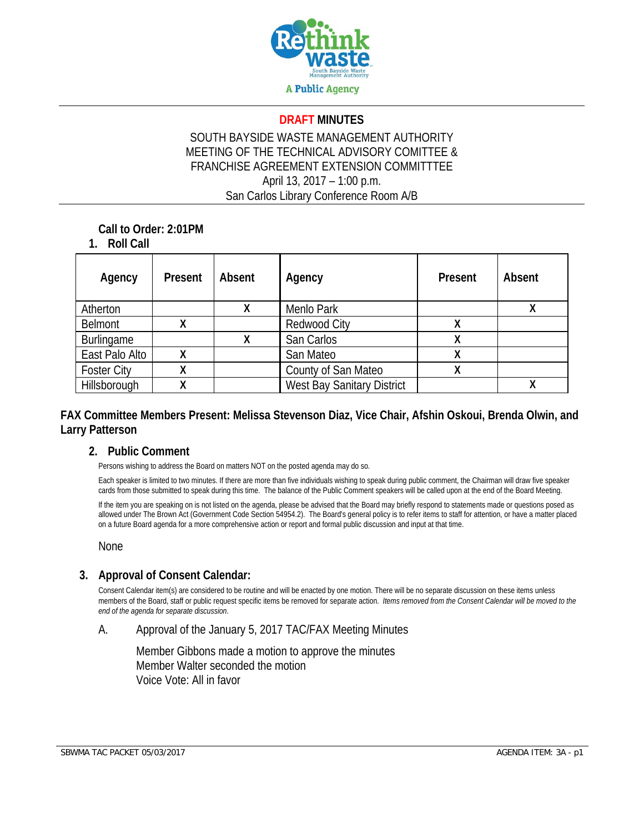

#### **DRAFT MINUTES**

### SOUTH BAYSIDE WASTE MANAGEMENT AUTHORITY MEETING OF THE TECHNICAL ADVISORY COMITTEE & FRANCHISE AGREEMENT EXTENSION COMMITTTEE April 13, 2017 – 1:00 p.m. San Carlos Library Conference Room A/B

### **Call to Order: 2:01PM**

### **1. Roll Call**

| Agency             | Present | Absent | Agency                     | <b>Present</b> | Absent |
|--------------------|---------|--------|----------------------------|----------------|--------|
| Atherton           |         |        | Menlo Park                 |                |        |
| Belmont            | χ       |        | <b>Redwood City</b>        |                |        |
| Burlingame         |         |        | San Carlos                 |                |        |
| East Palo Alto     | χ       |        | San Mateo                  |                |        |
| <b>Foster City</b> | Λ       |        | County of San Mateo        |                |        |
| Hillsborough       | Λ       |        | West Bay Sanitary District |                |        |

### **FAX Committee Members Present: Melissa Stevenson Diaz, Vice Chair, Afshin Oskoui, Brenda Olwin, and Larry Patterson**

#### **2. Public Comment**

Persons wishing to address the Board on matters NOT on the posted agenda may do so.

Each speaker is limited to two minutes. If there are more than five individuals wishing to speak during public comment, the Chairman will draw five speaker cards from those submitted to speak during this time. The balance of the Public Comment speakers will be called upon at the end of the Board Meeting.

If the item you are speaking on is not listed on the agenda, please be advised that the Board may briefly respond to statements made or questions posed as allowed under The Brown Act (Government Code Section 54954.2). The Board's general policy is to refer items to staff for attention, or have a matter placed on a future Board agenda for a more comprehensive action or report and formal public discussion and input at that time.

#### None

#### **3. Approval of Consent Calendar:**

Consent Calendar item(s) are considered to be routine and will be enacted by one motion. There will be no separate discussion on these items unless members of the Board, staff or public request specific items be removed for separate action. *Items removed from the Consent Calendar will be moved to the end of the agenda for separate discussion*.

#### A. Approval of the January 5, 2017 TAC/FAX Meeting Minutes

Member Gibbons made a motion to approve the minutes Member Walter seconded the motion Voice Vote: All in favor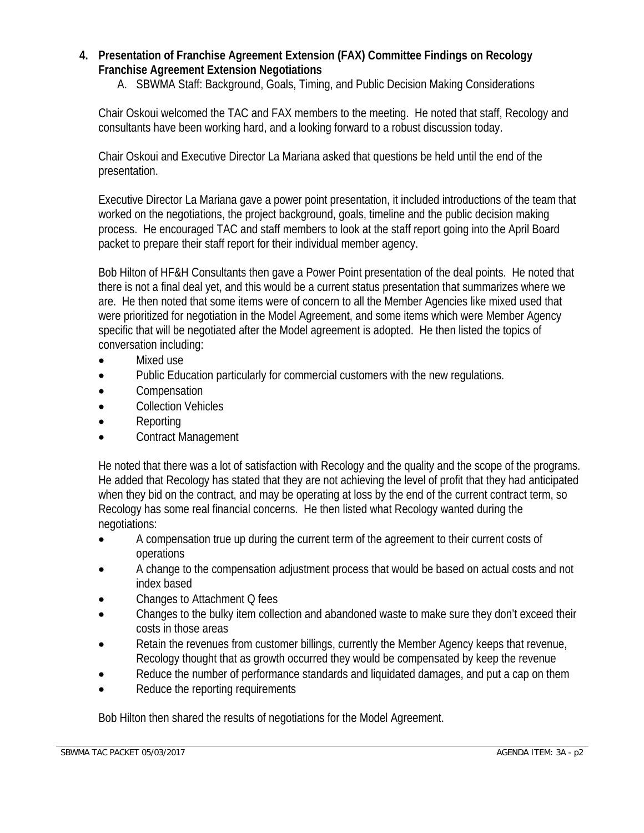# **4. Presentation of Franchise Agreement Extension (FAX) Committee Findings on Recology Franchise Agreement Extension Negotiations**

A. SBWMA Staff: Background, Goals, Timing, and Public Decision Making Considerations

Chair Oskoui welcomed the TAC and FAX members to the meeting. He noted that staff, Recology and consultants have been working hard, and a looking forward to a robust discussion today.

Chair Oskoui and Executive Director La Mariana asked that questions be held until the end of the presentation.

Executive Director La Mariana gave a power point presentation, it included introductions of the team that worked on the negotiations, the project background, goals, timeline and the public decision making process. He encouraged TAC and staff members to look at the staff report going into the April Board packet to prepare their staff report for their individual member agency.

Bob Hilton of HF&H Consultants then gave a Power Point presentation of the deal points. He noted that there is not a final deal yet, and this would be a current status presentation that summarizes where we are. He then noted that some items were of concern to all the Member Agencies like mixed used that were prioritized for negotiation in the Model Agreement, and some items which were Member Agency specific that will be negotiated after the Model agreement is adopted. He then listed the topics of conversation including:

- Mixed use
- Public Education particularly for commercial customers with the new regulations.
- **Compensation**
- Collection Vehicles
- Reporting
- Contract Management

He noted that there was a lot of satisfaction with Recology and the quality and the scope of the programs. He added that Recology has stated that they are not achieving the level of profit that they had anticipated when they bid on the contract, and may be operating at loss by the end of the current contract term, so Recology has some real financial concerns. He then listed what Recology wanted during the negotiations:

- A compensation true up during the current term of the agreement to their current costs of operations
- A change to the compensation adjustment process that would be based on actual costs and not index based
- Changes to Attachment Q fees
- Changes to the bulky item collection and abandoned waste to make sure they don't exceed their costs in those areas
- Retain the revenues from customer billings, currently the Member Agency keeps that revenue, Recology thought that as growth occurred they would be compensated by keep the revenue
- Reduce the number of performance standards and liquidated damages, and put a cap on them
- Reduce the reporting requirements

Bob Hilton then shared the results of negotiations for the Model Agreement.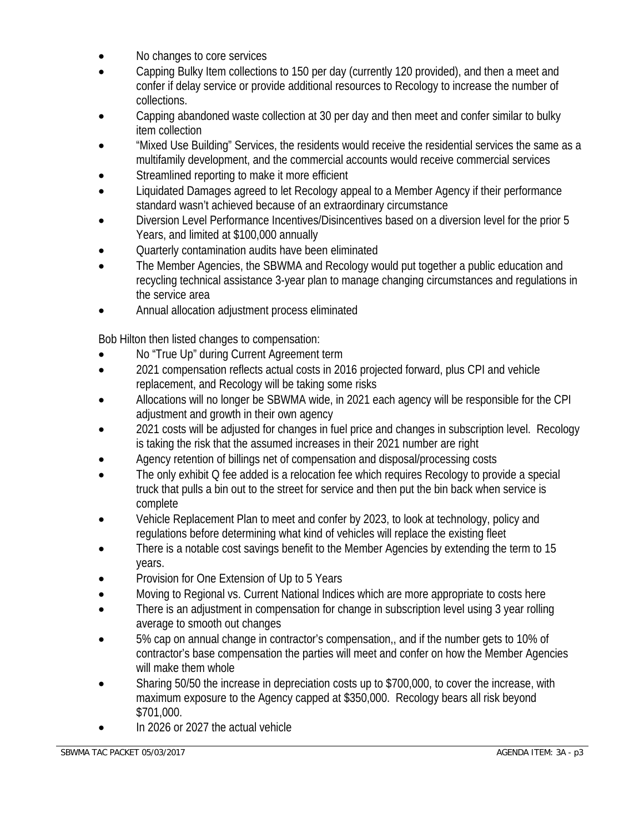- No changes to core services
- Capping Bulky Item collections to 150 per day (currently 120 provided), and then a meet and confer if delay service or provide additional resources to Recology to increase the number of collections.
- Capping abandoned waste collection at 30 per day and then meet and confer similar to bulky item collection
- "Mixed Use Building" Services, the residents would receive the residential services the same as a multifamily development, and the commercial accounts would receive commercial services
- Streamlined reporting to make it more efficient
- Liquidated Damages agreed to let Recology appeal to a Member Agency if their performance standard wasn't achieved because of an extraordinary circumstance
- Diversion Level Performance Incentives/Disincentives based on a diversion level for the prior 5 Years, and limited at \$100,000 annually
- Quarterly contamination audits have been eliminated
- The Member Agencies, the SBWMA and Recology would put together a public education and recycling technical assistance 3-year plan to manage changing circumstances and regulations in the service area
- Annual allocation adjustment process eliminated

Bob Hilton then listed changes to compensation:

- No "True Up" during Current Agreement term
- 2021 compensation reflects actual costs in 2016 projected forward, plus CPI and vehicle replacement, and Recology will be taking some risks
- Allocations will no longer be SBWMA wide, in 2021 each agency will be responsible for the CPI adjustment and growth in their own agency
- 2021 costs will be adjusted for changes in fuel price and changes in subscription level. Recology is taking the risk that the assumed increases in their 2021 number are right
- Agency retention of billings net of compensation and disposal/processing costs
- The only exhibit Q fee added is a relocation fee which requires Recology to provide a special truck that pulls a bin out to the street for service and then put the bin back when service is complete
- Vehicle Replacement Plan to meet and confer by 2023, to look at technology, policy and regulations before determining what kind of vehicles will replace the existing fleet
- There is a notable cost savings benefit to the Member Agencies by extending the term to 15 years.
- Provision for One Extension of Up to 5 Years
- Moving to Regional vs. Current National Indices which are more appropriate to costs here
- There is an adjustment in compensation for change in subscription level using 3 year rolling average to smooth out changes
- 5% cap on annual change in contractor's compensation,, and if the number gets to 10% of contractor's base compensation the parties will meet and confer on how the Member Agencies will make them whole
- Sharing 50/50 the increase in depreciation costs up to \$700,000, to cover the increase, with maximum exposure to the Agency capped at \$350,000. Recology bears all risk beyond \$701,000.
- In 2026 or 2027 the actual vehicle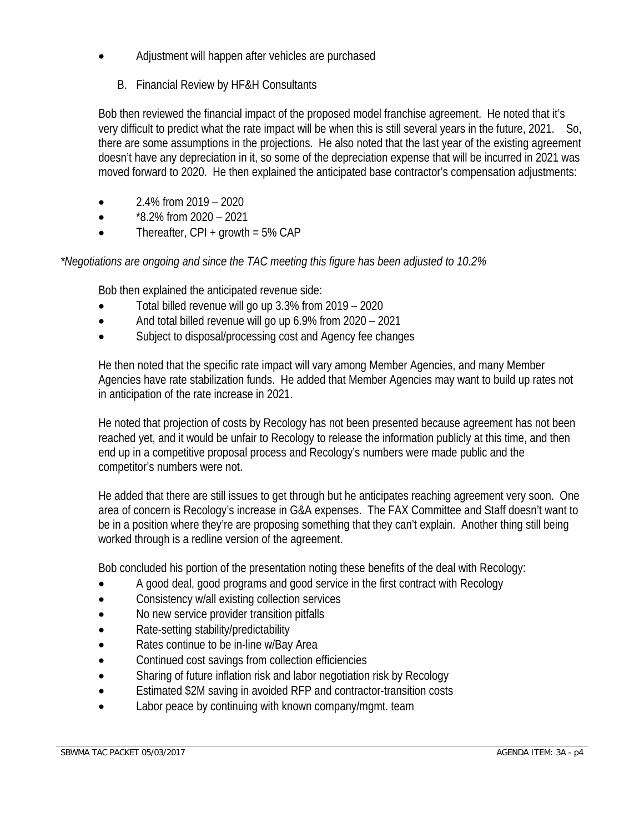- Adjustment will happen after vehicles are purchased
	- B. Financial Review by HF&H Consultants

Bob then reviewed the financial impact of the proposed model franchise agreement. He noted that it's very difficult to predict what the rate impact will be when this is still several years in the future, 2021. So, there are some assumptions in the projections. He also noted that the last year of the existing agreement doesn't have any depreciation in it, so some of the depreciation expense that will be incurred in 2021 was moved forward to 2020. He then explained the anticipated base contractor's compensation adjustments:

- $\bullet$  2.4% from 2019 2020
- $\bullet$  \*8.2% from 2020 2021
- $\bullet$  Thereafter, CPI + growth = 5% CAP

## *\*Negotiations are ongoing and since the TAC meeting this figure has been adjusted to 10.2%*

Bob then explained the anticipated revenue side:

- Total billed revenue will go up 3.3% from 2019 2020
- And total billed revenue will go up 6.9% from 2020 2021
- Subject to disposal/processing cost and Agency fee changes

He then noted that the specific rate impact will vary among Member Agencies, and many Member Agencies have rate stabilization funds. He added that Member Agencies may want to build up rates not in anticipation of the rate increase in 2021.

He noted that projection of costs by Recology has not been presented because agreement has not been reached yet, and it would be unfair to Recology to release the information publicly at this time, and then end up in a competitive proposal process and Recology's numbers were made public and the competitor's numbers were not.

He added that there are still issues to get through but he anticipates reaching agreement very soon. One area of concern is Recology's increase in G&A expenses. The FAX Committee and Staff doesn't want to be in a position where they're are proposing something that they can't explain. Another thing still being worked through is a redline version of the agreement.

Bob concluded his portion of the presentation noting these benefits of the deal with Recology:

- A good deal, good programs and good service in the first contract with Recology
- Consistency w/all existing collection services
- No new service provider transition pitfalls
- Rate-setting stability/predictability
- Rates continue to be in-line w/Bay Area
- Continued cost savings from collection efficiencies
- Sharing of future inflation risk and labor negotiation risk by Recology
- Estimated \$2M saving in avoided RFP and contractor-transition costs
- Labor peace by continuing with known company/mgmt. team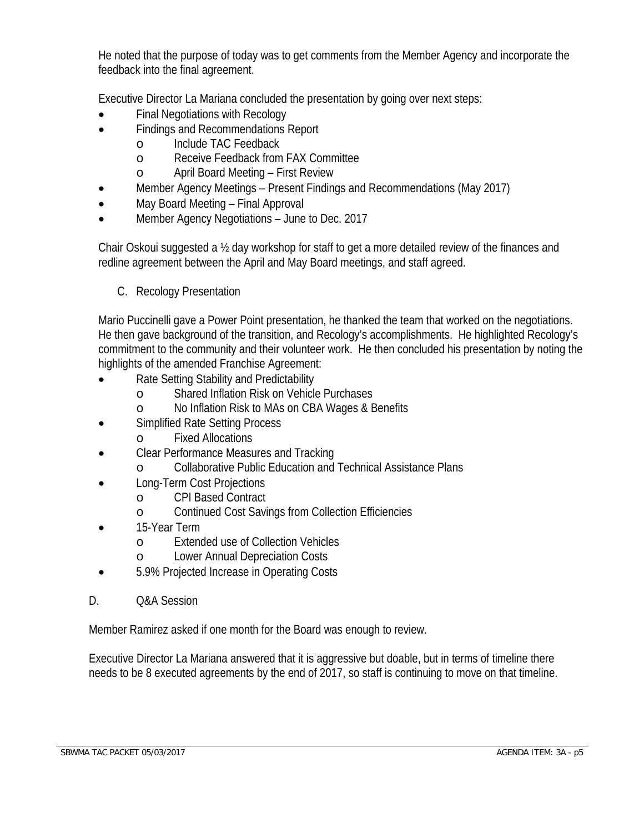He noted that the purpose of today was to get comments from the Member Agency and incorporate the feedback into the final agreement.

Executive Director La Mariana concluded the presentation by going over next steps:

- Final Negotiations with Recology
- Findings and Recommendations Report
	- o Include TAC Feedback
	- o Receive Feedback from FAX Committee
	- o April Board Meeting First Review
- Member Agency Meetings Present Findings and Recommendations (May 2017)
- May Board Meeting Final Approval
- Member Agency Negotiations June to Dec. 2017

Chair Oskoui suggested a ½ day workshop for staff to get a more detailed review of the finances and redline agreement between the April and May Board meetings, and staff agreed.

C. Recology Presentation

Mario Puccinelli gave a Power Point presentation, he thanked the team that worked on the negotiations. He then gave background of the transition, and Recology's accomplishments. He highlighted Recology's commitment to the community and their volunteer work. He then concluded his presentation by noting the highlights of the amended Franchise Agreement:

- Rate Setting Stability and Predictability
	- o Shared Inflation Risk on Vehicle Purchases
	- o No Inflation Risk to MAs on CBA Wages & Benefits
- Simplified Rate Setting Process
	- o Fixed Allocations
- Clear Performance Measures and Tracking
	- o Collaborative Public Education and Technical Assistance Plans
- Long-Term Cost Projections
	- o CPI Based Contract
	- o Continued Cost Savings from Collection Efficiencies
- 15-Year Term
	- o Extended use of Collection Vehicles
	- o Lower Annual Depreciation Costs
- 5.9% Projected Increase in Operating Costs
- D. Q&A Session

Member Ramirez asked if one month for the Board was enough to review.

Executive Director La Mariana answered that it is aggressive but doable, but in terms of timeline there needs to be 8 executed agreements by the end of 2017, so staff is continuing to move on that timeline.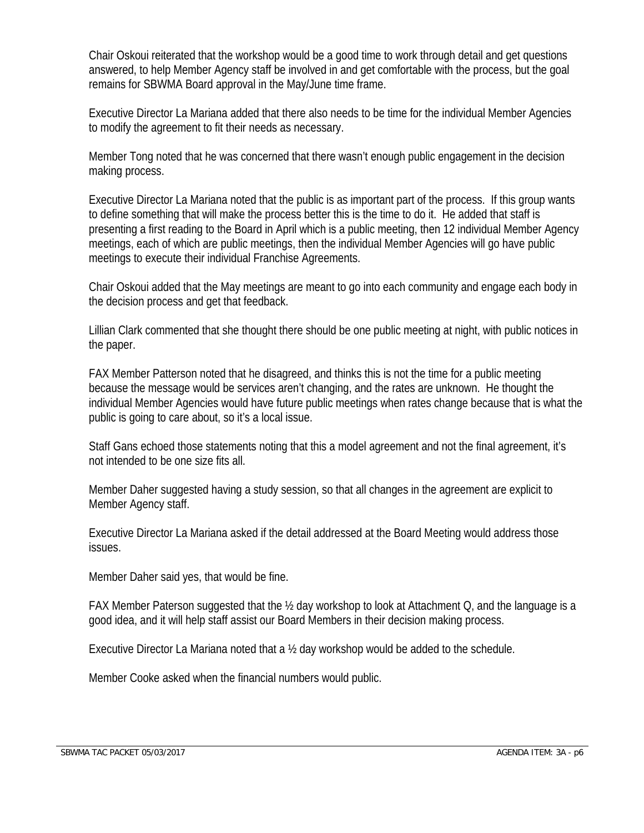Chair Oskoui reiterated that the workshop would be a good time to work through detail and get questions answered, to help Member Agency staff be involved in and get comfortable with the process, but the goal remains for SBWMA Board approval in the May/June time frame.

Executive Director La Mariana added that there also needs to be time for the individual Member Agencies to modify the agreement to fit their needs as necessary.

Member Tong noted that he was concerned that there wasn't enough public engagement in the decision making process.

Executive Director La Mariana noted that the public is as important part of the process. If this group wants to define something that will make the process better this is the time to do it. He added that staff is presenting a first reading to the Board in April which is a public meeting, then 12 individual Member Agency meetings, each of which are public meetings, then the individual Member Agencies will go have public meetings to execute their individual Franchise Agreements.

Chair Oskoui added that the May meetings are meant to go into each community and engage each body in the decision process and get that feedback.

Lillian Clark commented that she thought there should be one public meeting at night, with public notices in the paper.

FAX Member Patterson noted that he disagreed, and thinks this is not the time for a public meeting because the message would be services aren't changing, and the rates are unknown. He thought the individual Member Agencies would have future public meetings when rates change because that is what the public is going to care about, so it's a local issue.

Staff Gans echoed those statements noting that this a model agreement and not the final agreement, it's not intended to be one size fits all.

Member Daher suggested having a study session, so that all changes in the agreement are explicit to Member Agency staff.

Executive Director La Mariana asked if the detail addressed at the Board Meeting would address those issues.

Member Daher said yes, that would be fine.

FAX Member Paterson suggested that the ½ day workshop to look at Attachment Q, and the language is a good idea, and it will help staff assist our Board Members in their decision making process.

Executive Director La Mariana noted that a ½ day workshop would be added to the schedule.

Member Cooke asked when the financial numbers would public.